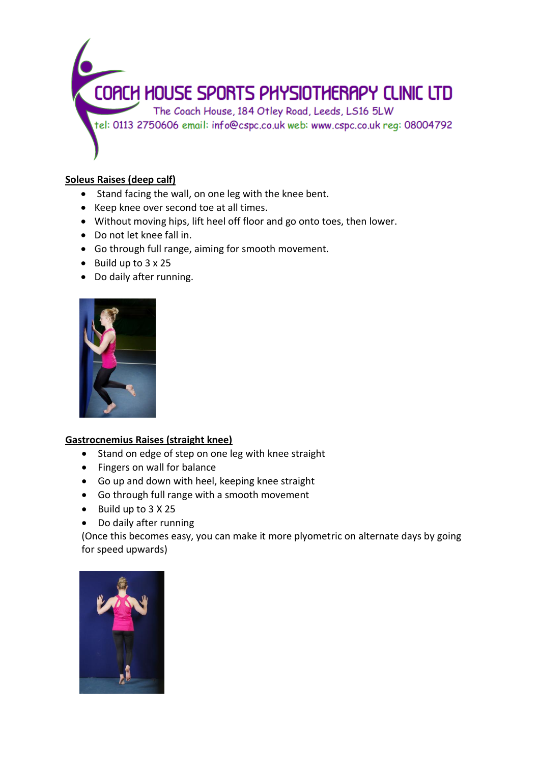

## **Soleus Raises (deep calf)**

- Stand facing the wall, on one leg with the knee bent.
- Keep knee over second toe at all times.
- Without moving hips, lift heel off floor and go onto toes, then lower.
- Do not let knee fall in.
- Go through full range, aiming for smooth movement.
- $\bullet$  Build up to 3 x 25
- Do daily after running.



## **Gastrocnemius Raises (straight knee)**

- Stand on edge of step on one leg with knee straight
- Fingers on wall for balance
- Go up and down with heel, keeping knee straight
- Go through full range with a smooth movement
- Build up to 3 X 25
- Do daily after running

(Once this becomes easy, you can make it more plyometric on alternate days by going for speed upwards)